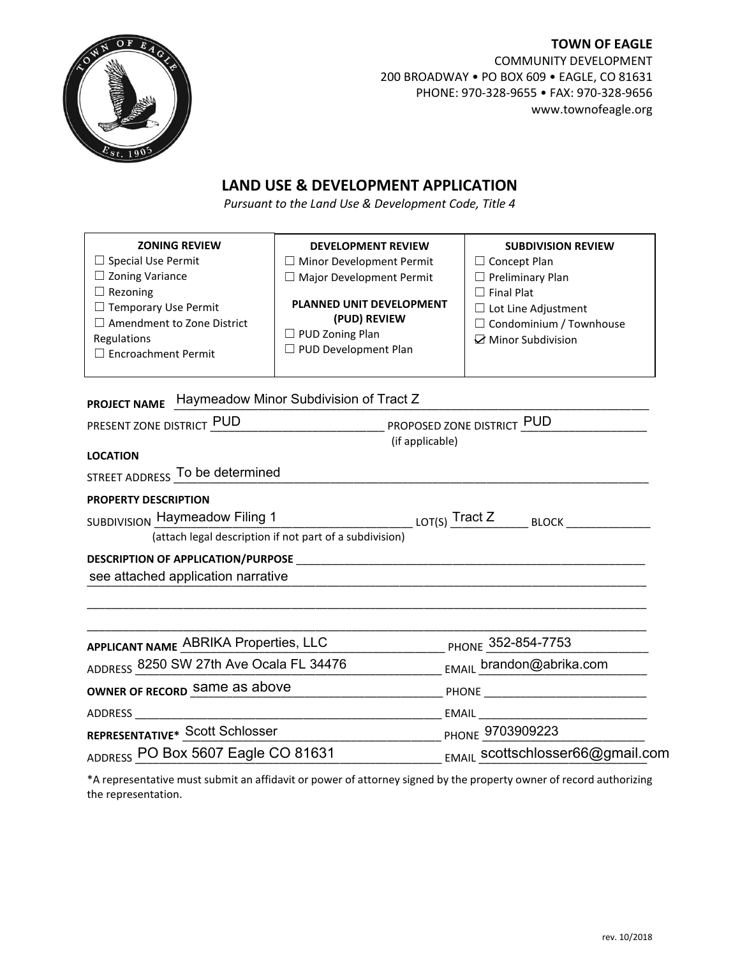

**TOWN OF EAGLE** COMMUNITY DEVELOPMENT 200 BROADWAY • PO BOX 609 • EAGLE, CO 81631 PHONE: 970-328-9655 • FAX: 970-328-9656 www.townofeagle.org

## **LAND USE & DEVELOPMENT APPLICATION**

*Pursuant to the Land Use & Development Code, Title 4*

| <b>ZONING REVIEW</b><br>$\Box$ Special Use Permit<br>$\Box$ Zoning Variance<br>$\Box$ Rezoning<br>□ Temporary Use Permit<br>$\Box$ Amendment to Zone District<br>Regulations<br>$\Box$ Encroachment Permit | <b>DEVELOPMENT REVIEW</b><br>$\Box$ Minor Development Permit<br>$\Box$ Major Development Permit<br>PLANNED UNIT DEVELOPMENT<br>(PUD) REVIEW<br>$\Box$ PUD Zoning Plan<br>□ PUD Development Plan | <b>SUBDIVISION REVIEW</b><br>$\Box$ Concept Plan<br>$\Box$ Preliminary Plan<br>$\Box$ Final Plat<br>$\Box$ Lot Line Adjustment<br>$\Box$ Condominium / Townhouse<br>☑ Minor Subdivision |  |  |
|------------------------------------------------------------------------------------------------------------------------------------------------------------------------------------------------------------|-------------------------------------------------------------------------------------------------------------------------------------------------------------------------------------------------|-----------------------------------------------------------------------------------------------------------------------------------------------------------------------------------------|--|--|
| Haymeadow Minor Subdivision of Tract Z<br><b>PROJECT NAME</b>                                                                                                                                              |                                                                                                                                                                                                 |                                                                                                                                                                                         |  |  |
| PRESENT ZONE DISTRICT PUD<br>(if applicable)                                                                                                                                                               |                                                                                                                                                                                                 |                                                                                                                                                                                         |  |  |
| <b>LOCATION</b>                                                                                                                                                                                            |                                                                                                                                                                                                 |                                                                                                                                                                                         |  |  |
| STREET ADDRESS To be determined                                                                                                                                                                            |                                                                                                                                                                                                 |                                                                                                                                                                                         |  |  |
| <b>PROPERTY DESCRIPTION</b>                                                                                                                                                                                |                                                                                                                                                                                                 |                                                                                                                                                                                         |  |  |
| SUBDIVISION Haymeadow Filing 1                                                                                                                                                                             |                                                                                                                                                                                                 |                                                                                                                                                                                         |  |  |
| (attach legal description if not part of a subdivision)                                                                                                                                                    |                                                                                                                                                                                                 |                                                                                                                                                                                         |  |  |
|                                                                                                                                                                                                            |                                                                                                                                                                                                 |                                                                                                                                                                                         |  |  |
| see attached application narrative                                                                                                                                                                         |                                                                                                                                                                                                 |                                                                                                                                                                                         |  |  |
|                                                                                                                                                                                                            |                                                                                                                                                                                                 |                                                                                                                                                                                         |  |  |
| APPLICANT NAME ABRIKA Properties, LLC                                                                                                                                                                      |                                                                                                                                                                                                 | PHONE 352-854-7753                                                                                                                                                                      |  |  |
| ADDRESS 8250 SW 27th Ave Ocala FL 34476                                                                                                                                                                    |                                                                                                                                                                                                 | EMAIL brandon@abrika.com                                                                                                                                                                |  |  |
| OWNER OF RECORD Same as above                                                                                                                                                                              |                                                                                                                                                                                                 | <b>PHONE Example 20</b>                                                                                                                                                                 |  |  |
| <b>ADDRESS</b>                                                                                                                                                                                             |                                                                                                                                                                                                 | <b>EMAIL</b>                                                                                                                                                                            |  |  |

**REPRESENTATIVE\*** \_\_\_\_\_\_\_\_\_\_\_\_\_\_\_\_\_\_\_\_\_\_\_\_\_\_\_\_\_\_\_\_\_\_\_\_\_\_\_\_\_\_\_ PHONE \_\_\_\_\_\_\_\_\_\_\_\_\_\_\_\_\_\_\_\_\_\_\_\_\_\_\_ Scott Schlosser ADDRESS OO Box 5607 Eagle CO 81631 \_\_\_\_\_\_\_\_\_\_\_\_\_\_\_<sub>\_EMAIL</sub> scottschlosser66@gmail.c PHONE 9703909223 scottschlosser66@gmail.com

\*A representative must submit an affidavit or power of attorney signed by the property owner of record authorizing the representation.